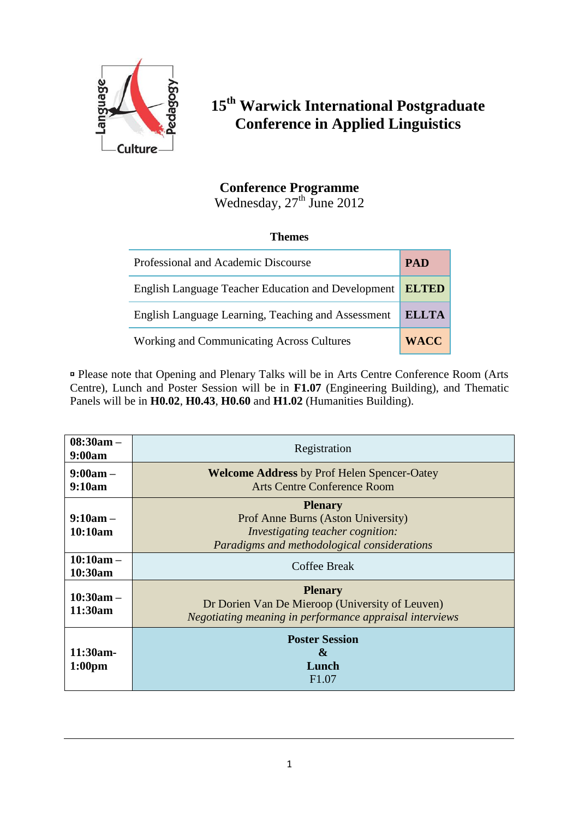

## **15th Warwick International Postgraduate Conference in Applied Linguistics**

## **Conference Programme**

Wednesday,  $27<sup>th</sup>$  June 2012

## **Themes**

| Professional and Academic Discourse                |              |  |  |
|----------------------------------------------------|--------------|--|--|
| English Language Teacher Education and Development | <b>ELTED</b> |  |  |
| English Language Learning, Teaching and Assessment | <b>ELLTA</b> |  |  |
| <b>Working and Communicating Across Cultures</b>   | <b>WACC</b>  |  |  |

 Please note that Opening and Plenary Talks will be in Arts Centre Conference Room (Arts Centre), Lunch and Poster Session will be in **F1.07** (Engineering Building), and Thematic Panels will be in **H0.02**, **H0.43**, **H0.60** and **H1.02** (Humanities Building).

| $08:30am -$<br>9:00am            | Registration                                                                                                                                   |  |  |  |  |
|----------------------------------|------------------------------------------------------------------------------------------------------------------------------------------------|--|--|--|--|
| $9:00am -$<br>9:10am             | <b>Welcome Address by Prof Helen Spencer-Oatey</b><br><b>Arts Centre Conference Room</b>                                                       |  |  |  |  |
| $9:10am -$<br>10:10am            | <b>Plenary</b><br>Prof Anne Burns (Aston University)<br><i>Investigating teacher cognition:</i><br>Paradigms and methodological considerations |  |  |  |  |
| $10:10am -$<br>10:30am           | Coffee Break                                                                                                                                   |  |  |  |  |
| $10:30am -$<br>11:30am           | <b>Plenary</b><br>Dr Dorien Van De Mieroop (University of Leuven)<br>Negotiating meaning in performance appraisal interviews                   |  |  |  |  |
| $11:30am-$<br>1:00 <sub>pm</sub> | <b>Poster Session</b><br>&<br>Lunch<br>F <sub>1.07</sub>                                                                                       |  |  |  |  |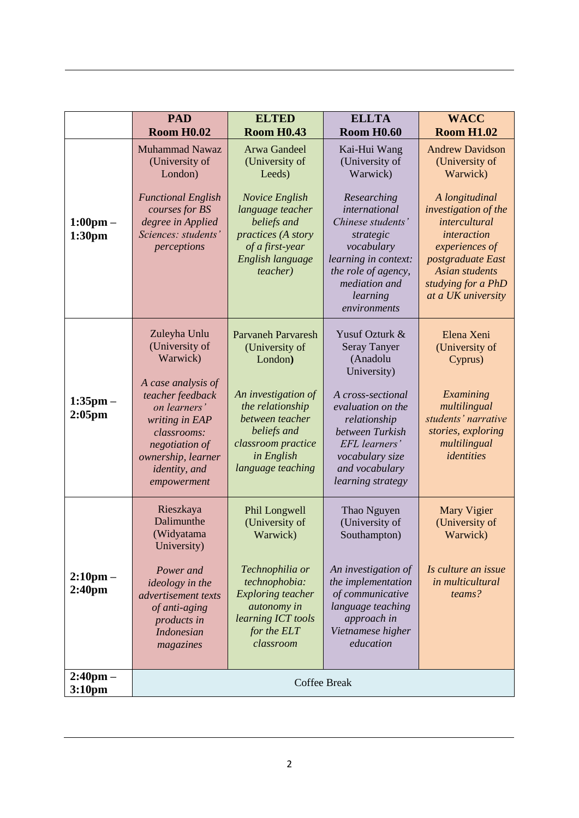|                                          | <b>PAD</b><br><b>Room H0.02</b>                                                                                                                                         | <b>ELTED</b><br><b>Room H0.43</b>                                                                                                  | <b>ELLTA</b><br><b>Room H0.60</b>                                                                                                                         | <b>WACC</b><br><b>Room H1.02</b>                                                                                                                                 |
|------------------------------------------|-------------------------------------------------------------------------------------------------------------------------------------------------------------------------|------------------------------------------------------------------------------------------------------------------------------------|-----------------------------------------------------------------------------------------------------------------------------------------------------------|------------------------------------------------------------------------------------------------------------------------------------------------------------------|
|                                          | <b>Muhammad Nawaz</b><br>(University of<br>London)<br><b>Functional English</b>                                                                                         | Arwa Gandeel<br>(University of<br>Leeds)<br><b>Novice English</b>                                                                  | Kai-Hui Wang<br>(University of<br>Warwick)<br>Researching                                                                                                 | <b>Andrew Davidson</b><br>(University of<br>Warwick)<br>A longitudinal                                                                                           |
| $1:00 \text{pm} -$<br>1:30pm             | courses for BS<br>degree in Applied<br>Sciences: students'<br>perceptions                                                                                               | language teacher<br>beliefs and<br>practices (A story<br>of a first-year<br>English language<br><i>teacher</i> )                   | international<br>Chinese students'<br>strategic<br>vocabulary<br>learning in context:<br>the role of agency,<br>mediation and<br>learning<br>environments | investigation of the<br>intercultural<br>interaction<br>experiences of<br>postgraduate East<br><b>Asian students</b><br>studying for a PhD<br>at a UK university |
|                                          | Zuleyha Unlu<br>(University of<br>Warwick)                                                                                                                              | <b>Parvaneh Parvaresh</b><br>(University of<br>London)                                                                             | Yusuf Ozturk &<br><b>Seray Tanyer</b><br>(Anadolu<br>University)                                                                                          | Elena Xeni<br>(University of<br>Cyprus)                                                                                                                          |
| $1:35$ pm $-$<br>$2:05$ pm               | A case analysis of<br>teacher feedback<br>on learners'<br>writing in EAP<br>classrooms:<br>negotiation of<br>ownership, learner<br><i>identity</i> , and<br>empowerment | An investigation of<br>the relationship<br>between teacher<br>beliefs and<br>classroom practice<br>in English<br>language teaching | A cross-sectional<br>evaluation on the<br>relationship<br>between Turkish<br>EFL learners'<br>vocabulary size<br>and vocabulary<br>learning strategy      | Examining<br>multilingual<br>students' narrative<br>stories, exploring<br>multilingual<br>identities                                                             |
|                                          | Rieszkaya<br>Dalimunthe<br>(Widyatama<br>University)                                                                                                                    | Phil Longwell<br>(University of<br>Warwick)                                                                                        | Thao Nguyen<br>(University of<br>Southampton)                                                                                                             | <b>Mary Vigier</b><br>(University of<br>Warwick)                                                                                                                 |
| $2:10 \text{pm} -$<br>2:40 <sub>pm</sub> | Power and<br><i>ideology in the</i><br>advertisement texts<br>of anti-aging<br>products in<br><b>Indonesian</b><br>magazines                                            | Technophilia or<br>technophobia:<br><b>Exploring teacher</b><br>autonomy in<br>learning ICT tools<br>for the ELT<br>classroom      | An investigation of<br>the implementation<br>of communicative<br>language teaching<br>approach in<br>Vietnamese higher<br>education                       | Is culture an issue<br>in multicultural<br>teams?                                                                                                                |
| $2:40 \text{pm} -$<br>3:10 <sub>pm</sub> | <b>Coffee Break</b>                                                                                                                                                     |                                                                                                                                    |                                                                                                                                                           |                                                                                                                                                                  |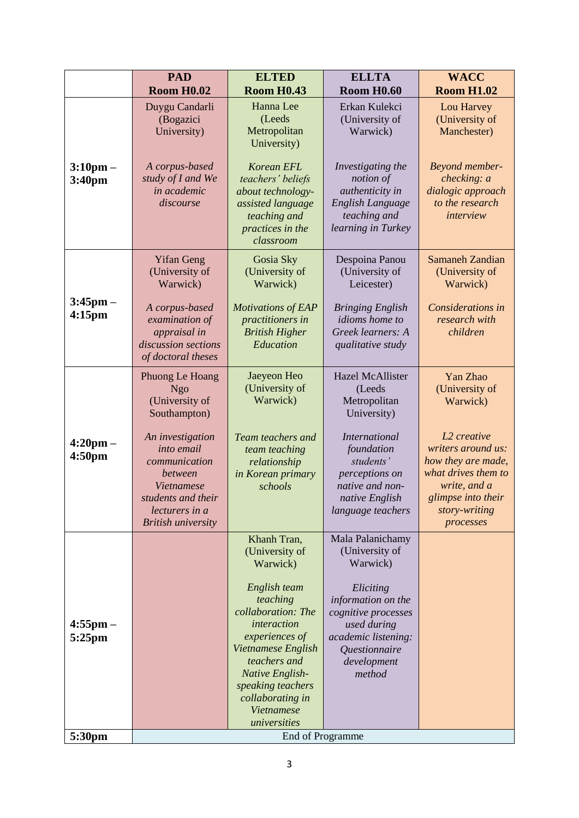|                                          | <b>PAD</b>                                                                                                                                           | <b>ELTED</b>                                                                                                                                                                                                                                                               | <b>ELLTA</b>                                                                                                                                                                             | <b>WACC</b>                                                                                                                                                    |
|------------------------------------------|------------------------------------------------------------------------------------------------------------------------------------------------------|----------------------------------------------------------------------------------------------------------------------------------------------------------------------------------------------------------------------------------------------------------------------------|------------------------------------------------------------------------------------------------------------------------------------------------------------------------------------------|----------------------------------------------------------------------------------------------------------------------------------------------------------------|
|                                          | <b>Room H0.02</b>                                                                                                                                    | <b>Room H0.43</b>                                                                                                                                                                                                                                                          | <b>Room H0.60</b>                                                                                                                                                                        | <b>Room H1.02</b>                                                                                                                                              |
|                                          | Duygu Candarli<br>(Bogazici<br>University)                                                                                                           | Hanna Lee<br>(Leeds<br>Metropolitan<br>University)                                                                                                                                                                                                                         | Erkan Kulekci<br>(University of<br>Warwick)                                                                                                                                              | Lou Harvey<br>(University of<br>Manchester)                                                                                                                    |
| $3:10 \text{pm} -$<br>3:40 <sub>pm</sub> | A corpus-based<br>study of I and We<br>in academic<br>discourse                                                                                      | <b>Korean EFL</b><br>teachers' beliefs<br>about technology-<br>assisted language<br>teaching and<br>practices in the<br>classroom                                                                                                                                          | Investigating the<br>notion of<br>authenticity in<br>English Language<br>teaching and<br>learning in Turkey                                                                              | Beyond member-<br>checking: a<br>dialogic approach<br>to the research<br>interview                                                                             |
|                                          | <b>Yifan Geng</b><br>(University of<br>Warwick)                                                                                                      | Gosia Sky<br>(University of<br>Warwick)                                                                                                                                                                                                                                    | Despoina Panou<br>(University of<br>Leicester)                                                                                                                                           | <b>Samaneh Zandian</b><br>(University of<br>Warwick)                                                                                                           |
| $3:45$ pm $-$<br>4:15 <sub>pm</sub>      | A corpus-based<br>examination of<br>appraisal in<br>discussion sections<br>of doctoral theses                                                        | <b>Motivations of EAP</b><br>practitioners in<br><b>British Higher</b><br>Education                                                                                                                                                                                        | <b>Bringing English</b><br>idioms home to<br>Greek learners: A<br>qualitative study                                                                                                      | Considerations in<br>research with<br>children                                                                                                                 |
|                                          | Phuong Le Hoang<br><b>Ngo</b><br>(University of<br>Southampton)                                                                                      | Jaeyeon Heo<br>(University of<br>Warwick)                                                                                                                                                                                                                                  | <b>Hazel McAllister</b><br>(Leeds<br>Metropolitan<br>University)                                                                                                                         | Yan Zhao<br>(University of<br>Warwick)                                                                                                                         |
| $4:20 \text{pm} -$<br>4:50 <sub>pm</sub> | An investigation<br>into email<br>communication<br>between<br><b>Vietnamese</b><br>students and their<br>lecturers in a<br><b>British university</b> | Team teachers and<br>team teaching<br>relationship<br>in Korean primary<br>schools                                                                                                                                                                                         | <b>International</b><br>foundation<br>students'<br>perceptions on<br>native and non-<br>native English<br>language teachers                                                              | L <sub>2</sub> creative<br>writers around us:<br>how they are made,<br>what drives them to<br>write, and a<br>glimpse into their<br>story-writing<br>processes |
| $4:55$ pm $-$<br>5:25pm                  |                                                                                                                                                      | Khanh Tran,<br>(University of<br>Warwick)<br>English team<br>teaching<br>collaboration: The<br><i>interaction</i><br>experiences of<br>Vietnamese English<br>teachers and<br>Native English-<br>speaking teachers<br>collaborating in<br><b>Vietnamese</b><br>universities | Mala Palanichamy<br>(University of<br>Warwick)<br>Eliciting<br>information on the<br>cognitive processes<br>used during<br>academic listening:<br>Questionnaire<br>development<br>method |                                                                                                                                                                |
| 5:30pm                                   | End of Programme                                                                                                                                     |                                                                                                                                                                                                                                                                            |                                                                                                                                                                                          |                                                                                                                                                                |